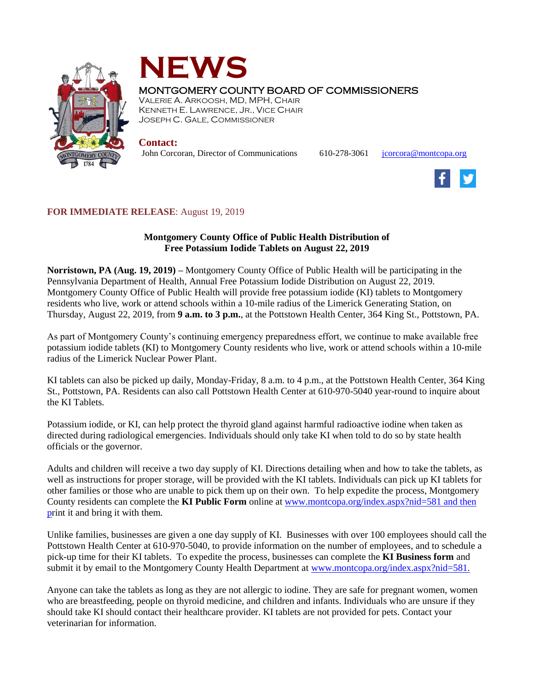



## MONTGOMERY COUNTY BOARD OF COMMISSIONERS

VALERIE A. ARKOOSH, MD, MPH, CHAIR KENNETH E. LAWRENCE, JR., VICE CHAIR JOSEPH C. GALE, COMMISSIONER

**Contact:**

John Corcoran, Director of Communications 610-278-3061 [jcorcora@montcopa.org](mailto:jcorcora@montcopa.org)



## **FOR IMMEDIATE RELEASE**: August 19, 2019

## **Montgomery County Office of Public Health Distribution of Free Potassium Iodide Tablets on August 22, 2019**

**Norristown, PA (Aug. 19, 2019) –** Montgomery County Office of Public Health will be participating in the Pennsylvania Department of Health, Annual Free Potassium Iodide Distribution on August 22, 2019. Montgomery County Office of Public Health will provide free potassium iodide (KI) tablets to Montgomery residents who live, work or attend schools within a 10-mile radius of the Limerick Generating Station, on Thursday, August 22, 2019, from **9 a.m. to 3 p.m.**, at the Pottstown Health Center, 364 King St., Pottstown, PA.

As part of Montgomery County's continuing emergency preparedness effort, we continue to make available free potassium iodide tablets (KI) to Montgomery County residents who live, work or attend schools within a 10-mile radius of the Limerick Nuclear Power Plant.

KI tablets can also be picked up daily, Monday-Friday, 8 a.m. to 4 p.m., at the Pottstown Health Center, 364 King St., Pottstown, PA. Residents can also call Pottstown Health Center at 610-970-5040 year-round to inquire about the KI Tablets.

Potassium iodide, or KI, can help protect the thyroid gland against harmful radioactive iodine when taken as directed during radiological emergencies. Individuals should only take KI when told to do so by state health officials or the governor.

Adults and children will receive a two day supply of KI. Directions detailing when and how to take the tablets, as well as instructions for proper storage, will be provided with the KI tablets. Individuals can pick up KI tablets for other families or those who are unable to pick them up on their own. To help expedite the process, Montgomery County residents can complete the **KI Public Form** online at [www.montcopa.org/index.aspx?nid=581](http://www.montcopa.org/index.aspx?nid=581) and then print it and bring it with them.

Unlike families, businesses are given a one day supply of KI. Businesses with over 100 employees should call the Pottstown Health Center at 610-970-5040, to provide information on the number of employees, and to schedule a pick-up time for their KI tablets. To expedite the process, businesses can complete the **KI Business form** and submit it by email to the Montgomery County Health Department at [www.montcopa.org/index.aspx?nid=581.](http://www.montcopa.org/index.aspx?nid=581)

Anyone can take the tablets as long as they are not allergic to iodine. They are safe for pregnant women, women who are breastfeeding, people on thyroid medicine, and children and infants. Individuals who are unsure if they should take KI should contact their healthcare provider. KI tablets are not provided for pets. Contact your veterinarian for information.